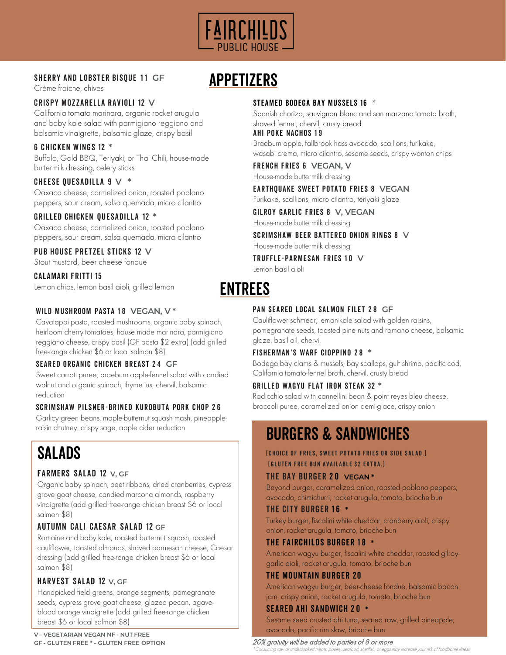

## **SHERRY AND LOBSTER BISQUE 11 GF**

Crème fraiche, chives

## CRISPY MOZZARELLA RAVIOLI 12 **V**

California tomato marinara, organic rocket arugula and baby kale salad with parmigiano reggiano and balsamic vinaigrette, balsamic glaze, crispy basil

#### 6 CHICKEN WINGS 12 **\***

Buffalo, Gold BBQ, Teriyaki, or Thai Chili, house-made buttermilk dressing, celery sticks

## CHEESE QUESADILLA 9 **V \***

Oaxaca cheese, carmelized onion, roasted poblano peppers, sour cream, salsa quemada, micro cilantro

#### GRILLED CHICKEN QUESADILLA 12 **\***

Oaxaca cheese, carmelized onion, roasted poblano peppers, sour cream, salsa quemada, micro cilantro

#### PUB HOUSE PRETZEL STICKS 12 **V**

Stout mustard, beer cheese fondue

# CALAMARI FRITTI 15

Lemon chips, lemon basil aioli, grilled lemon

#### WILD MUSHROOM PASTA 18 VEGAN, V\*

Cavatappi pasta, roasted mushrooms, organic baby spinach, heirloom cherry tomatoes, house made marinara, parmigiano reggiano cheese, crispy basil (GF pasta \$2 extra) (add grilled free-range chicken \$6 or local salmon \$8)

#### SEARED ORGANIC CHICKEN BREAST 2 4 **GF**

Sweet carrott puree, braeburn apple-fennel salad with candied walnut and organic spinach, thyme jus, chervil, balsamic reduction

#### SCRIMSHAW PILSNER-BRINED KUROBUTA PORK CHOP 2 6

Garlicy green beans, maple-butternut squash mash, pineapple-<br>raisin chutney, crispy sage, apple cider reduction

# SALADS

#### FARMERS SALAD 12 **V, GF**

Organic baby spinach, beet ribbons, dried cranberries, cypress grove goat cheese, candied marcona almonds, raspberry vinaigrette (add grilled free-range chicken breast \$6 or local salmon \$8)

# AUTUMN CALI CAESAR SALAD 12 **GF**

Romaine and baby kale, roasted butternut squash, roasted cauliflower, toasted almonds, shaved parmesan cheese, Caesar dressing (add grilled free-range chicken breast \$6 or local salmon \$8)

# HARVEST SALAD 12 **V, GF**

Handpicked field greens, orange segments, pomegranate seeds, cypress grove goat cheese, glazed pecan, agaveblood orange vinaigrette (add grilled free-range chicken breast \$6 or local salmon \$8)

# APPETIZERS

#### STEAMED BODEGA BAY MUSSELS 16 \*

Spanish chorizo, sauvignon blanc and san marzano tomato broth, shaved fennel, chervil, crusty bread

# **AHI POKE NACHOS 19**

Braeburn apple, fallbrook hass avocado, scallions, furikake, wasabi crema, micro cilantro, sesame seeds, crispy wonton chips

#### FRENCH FRIES 6 **VEGAN, V**

House-made buttermilk dressing

#### EARTHQUAKE SWEET POTATO FRIES 8 **VEGAN**

Furikake, scallions, micro cilantro, teriyaki glaze

GILROY GARLIC FRIES 8 **V, VEGAN**  House-made buttermilk dressing

SCRIMSHAW BEER BATTERED ONION RINGS 8 **V** House-made buttermilk dressing

TRUFFLE-PARMESAN FRIES 1 0 **V**

Lemon basil aioli

# ENTREES

#### PAN SEARED LOCAL SALMON FILET 2 8 **GF**

Cauliflower schmear, lemon-kale salad with golden raisins, pomegranate seeds, toasted pine nuts and romano cheese, balsamic glaze, basil oil, chervil

#### FISHERMAN'S WARF CIOPPINO 2 8 **\***

Bodega bay clams & mussels, bay scallops, gulf shrimp, pacific cod, California tomato-fennel broth, chervil, crusty bread

#### GRILLED WAGYU FLAT IRON STEAK 32 **\***

Radicchio salad with cannellini bean & point reyes bleu cheese, broccoli puree, caramelized onion demi-glace, crispy onion

# **BURGERS & SANDWICHES**

#### (Choice of fries, sweet potato fries or side salad.) (gluten free bun available \$2 extra.)

#### THE BAY BURGER 2 0 **VEGAN \***

Beyond burger, caramelized onion, roasted poblano peppers, avocado, chimichurri, rocket arugula, tomato, brioche bun

#### THE CITY BURGER 1 6 **\***

Turkey burger, fiscalini white cheddar, cranberry aioli, crispy onion, rocket arugula, tomato, brioche bun

#### THE FAIRCHILDS BURGER 1 8 **\***

American wagyu burger, fiscalini white cheddar, roasted gilroy garlic aioli, rocket arugula, tomato, brioche bun

# THE MOUNTAIN BURGER 20

American wagyu burger, beer-cheese fondue, balsamic bacon jam, crispy onion, rocket arugula, tomato, brioche bun

# SEARED AHI SANDWICH 2 0 **\***

Sesame seed crusted ahi tuna, seared raw, grilled pineapple, avocado, pacific rim slaw, brioche bun

#### 20% gratuity will be added to parties of 8 or more

is may increase vour risk of foodborne illnes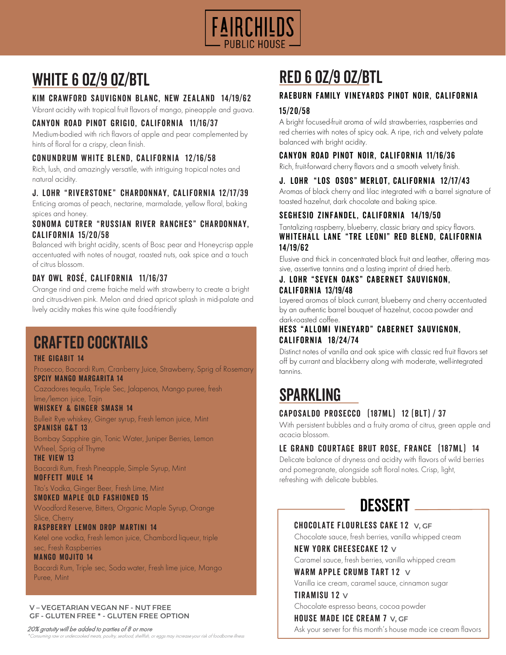

# WHITE 6 0Z/9 0Z/BTL

# KIM CRAWFORD SAUVIGNON BLANC, NEW ZEALAND 14/19/62

Vibrant acidity with tropical fruit flavors of mango, pineapple and guava.

# CANYON ROAD PINOT GRIGIO, CALIFORNIA 11/16/37

Medium-bodied with rich flavors of apple and pear complemented by hints of floral for a crispy, clean finish.

## C ONUNDRUM WHITE BLEND, CALIFORNIA 12/16/58

Rich, lush, and amazingly versatile, with intriguing tropical notes and natural acidity.

# J. LOHR "RIVERSTONE" CHARDONNAY, CALIFORNIA 12/17/39

Enticing aromas of peach, nectarine, marmalade, yellow floral, baking spices and honey.

#### SONOMA CUTRER "RUSSIAN RIVER RANCHES" CHARDONNAY, CALIFORNIA 15/20/58

Balanced with bright acidity, scents of Bosc pear and Honeycrisp apple accentuated with notes of nougat, roasted nuts, oak spice and a touch of citrus blossom.

# DAY OWL ROSÉ, CALIFORNIA 11/16/37

Orange rind and creme fraiche meld with strawberry to create a bright and citrus-driven pink. Melon and dried apricot splash in mid-palate and lively acidity makes this wine quite food-friendly

# crafted cocktails

#### THE GIGABIT 14

Prosecco, Bacardi Rum, Cranberry Juice, Strawberry, Sprig of Rosemary SPCIY MANGO MARGARITA 14

Cazadores tequila, Triple Sec, Jalapenos, Mango puree, fresh lime/lemon juice, Tajin

#### WHISKEY & GINGER SMASH 14

Bulleit Rye whiskey, Ginger syrup, Fresh lemon juice, Mint SPANISH G&T 13

Bombay Sapphire gin, Tonic Water, Juniper Berries, Lemon Wheel, Sprig of Thyme

THE VIEW 13 Bacardi Rum, Fresh Pineapple, Simple Syrup, Mint MOFFETT MULE 14

Tito's Vodka, Ginger Beer, Fresh Lime, Mint SMOKED MAPLE OLD FASHIONED 15

Woodford Reserve, Bitters, Organic Maple Syrup, Orange Slice, Cherry

#### RASPBERRY LEMON DROP MARTINI 14

Ketel one vodka, Fresh lemon juice, Chambord liqueur, triple sec, Fresh Raspberries

#### MANGO MOJITO 14

Bacardi Rum, Triple sec, Soda water, Fresh lime juice, Mango Puree, Mint

#### **V – VEGETARIAN VEGAN NF - NUT FREE GF - GLUTEN FREE \* - GLUTEN FREE OPTION**

#### 20% gratuity will be added to parties of 8 or more

or undercooked meats, poultry, seafood, shellfish, or eggs may increase your risk of foodborne illness

# red 6 oz/9 oz/btl

# RAEBURN FAMILY VINEYARDS PINOT NOIR, CALIFORNIA

#### 15/20/58

A bright focused-fruit aroma of wild strawberries, raspberries and red cherries with notes of spicy oak. A ripe, rich and velvety palate balanced with bright acidity.

## CANYON ROAD PINOT NOIR, CALIFORNIA 11/16/36

Rich, fruit-forward cherry flavors and a smooth velvety finish.

## J. LOHR "LOS OSOS" MERLOT, CALIFORNIA 12/17/43

Aromas of black cherry and lilac integrated with a barrel signature of toasted hazelnut, dark chocolate and baking spice.

## SEGHESIO ZINFANDEL, CALIFORNIA 14/19/50

Tantalizing raspberry, blueberry, classic briary and spicy flavors. WHITEHALL LANE "TRE LEONI" RED BLEND, CALIFORNIA 14/19/62

Elusive and thick in concentrated black fruit and leather, offering massive, assertive tannins and a lasting imprint of dried herb.

#### J. LOHR "SEVEN OAKS" CABERNET SAUVIGNON, CALIFORNIA 13/19/48

Layered aromas of black currant, blueberry and cherry accentuated by an authentic barrel bouquet of hazelnut, cocoa powder and dark-roasted coffee.

#### HESS "ALLOMI VINEYARD" CABERNET SAUVIGNON, CALIFORNIA 18/24/74

Distinct notes of vanilla and oak spice with classic red fruit flavors set off by currant and blackberry along with moderate, well-integrated tannins.

# SPARKLING

# CAPOSALDO PROSECCO (187ML) 12 (BLT) / 37

With persistent bubbles and a fruity aroma of citrus, green apple and acacia blossom.

# LE GRAND COURTAGE BRUT ROSE, FRANCE (187ML) 14

Delicate balance of dryness and acidity with flavors of wild berries and pomegranate, alongside soft floral notes. Crisp, light, refreshing with delicate bubbles.



#### **CHOCOLATE FLOURLESS CAKE 12 V, GF**

Chocolate sauce, fresh berries, vanilla whipped cream NEW YORK CHEESECAKE 12 **V**

Caramel sauce, fresh berries, vanilla whipped cream

#### WARM APPLE CRUMB TART  $12 \vee$

Vanilla ice cream, caramel sauce, cinnamon sugar

#### TIRAMISU 12 $\vee$

Chocolate espresso beans, cocoa powder

#### HOUSE MADE ICE CREAM 7 **V, GF**

Ask your server for this month's house made ice cream flavors